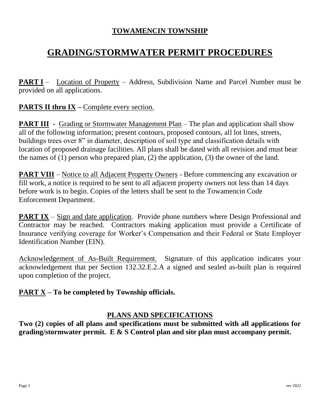## **TOWAMENCIN TOWNSHIP**

# **GRADING/STORMWATER PERMIT PROCEDURES**

**PART I** – Location of Property – Address, Subdivision Name and Parcel Number must be provided on all applications.

# **PARTS II thru IX** – Complete every section.

**PART III** - Grading or Stormwater Management Plan – The plan and application shall show all of the following information; present contours, proposed contours, all lot lines, streets, buildings trees over 8" in diameter, description of soil type and classification details with location of proposed drainage facilities. All plans shall be dated with all revision and must bear the names of (1) person who prepared plan, (2) the application, (3) the owner of the land.

**PART VIII** – Notice to all Adjacent Property Owners - Before commencing any excavation or fill work, a notice is required to be sent to all adjacent property owners not less than 14 days before work is to begin. Copies of the letters shall be sent to the Towamencin Code Enforcement Department.

**PART IX** – Sign and date application. Provide phone numbers where Design Professional and Contractor may be reached. Contractors making application must provide a Certificate of Insurance verifying coverage for Worker's Compensation and their Federal or State Employer Identification Number (EIN).

Acknowledgement of As-Built Requirement. Signature of this application indicates your acknowledgement that per Section 132.32.E.2.A a signed and sealed as-built plan is required upon completion of the project.

## **PART X – To be completed by Township officials.**

## **PLANS AND SPECIFICATIONS**

**Two (2) copies of all plans and specifications must be submitted with all applications for grading/stormwater permit. E & S Control plan and site plan must accompany permit.**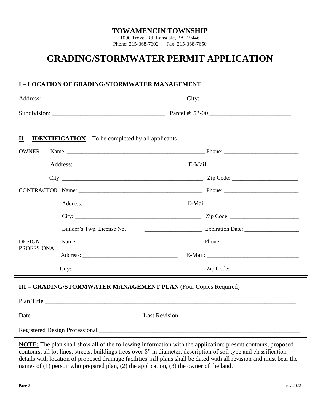#### **TOWAMENCIN TOWNSHIP**

1090 Troxel Rd, Lansdale, PA 19446 Phone: 215-368-7602 Fax: 215-368-7650

# **GRADING/STORMWATER PERMIT APPLICATION**

| <u>I - LOCATION OF GRADING/STORMWATER MANAGEMENT</u> |                                                                                       |  |  |
|------------------------------------------------------|---------------------------------------------------------------------------------------|--|--|
|                                                      |                                                                                       |  |  |
|                                                      |                                                                                       |  |  |
|                                                      |                                                                                       |  |  |
|                                                      | $\underline{\mathbf{II}}$ - <b>IDENTIFICATION</b> – To be completed by all applicants |  |  |
| <b>OWNER</b>                                         |                                                                                       |  |  |
|                                                      |                                                                                       |  |  |
|                                                      |                                                                                       |  |  |
|                                                      |                                                                                       |  |  |
|                                                      |                                                                                       |  |  |
|                                                      |                                                                                       |  |  |
|                                                      |                                                                                       |  |  |
| <b>DESIGN</b>                                        |                                                                                       |  |  |
| <b>PROFESIONAL</b>                                   |                                                                                       |  |  |
|                                                      |                                                                                       |  |  |
|                                                      | <b>III - GRADING/STORMWATER MANAGEMENT PLAN</b> (Four Copies Required)                |  |  |
|                                                      |                                                                                       |  |  |
|                                                      |                                                                                       |  |  |
|                                                      |                                                                                       |  |  |
|                                                      |                                                                                       |  |  |

**NOTE:** The plan shall show all of the following information with the application: present contours, proposed contours, all lot lines, streets, buildings trees over 8" in diameter, description of soil type and classification details with location of proposed drainage facilities. All plans shall be dated with all revision and must bear the names of (1) person who prepared plan, (2) the application, (3) the owner of the land.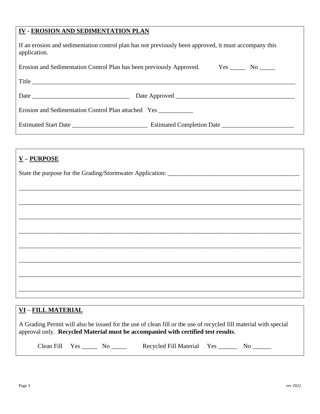#### **IV - EROSION AND SEDIMENTATION PLAN**

| If an erosion and sedimentation control plan has not previously been approved, it must accompany this |  |
|-------------------------------------------------------------------------------------------------------|--|
| application.                                                                                          |  |

| Erosion and Sedimentation Control Plan has been previously Approved. Yes ______ No _____ |  |  |  |
|------------------------------------------------------------------------------------------|--|--|--|
| Title                                                                                    |  |  |  |
| Date $\frac{1}{2}$                                                                       |  |  |  |
| Erosion and Sedimentation Control Plan attached Yes                                      |  |  |  |
| Estimated Start Date Estimated Completion Date Estimated Completion Date                 |  |  |  |

| $\underline{V}$ – PURPOSE |
|---------------------------|
|                           |
|                           |
|                           |
|                           |
|                           |
|                           |
|                           |
|                           |
|                           |
|                           |

### **VI – FILL MATERIAL**

A Grading Permit will also be issued for the use of clean fill or the use of recycled fill material with special approval only. **Recycled Material must be accompanied with certified test results**.

| <b>Jear</b> | $\alpha$<br>$\cdots$ |  | Material<br>Recycled Fill | Yes | N |
|-------------|----------------------|--|---------------------------|-----|---|
|-------------|----------------------|--|---------------------------|-----|---|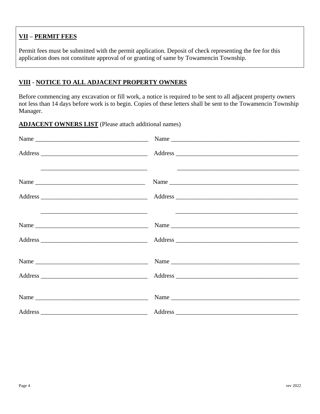### **VII – PERMIT FEES**

Permit fees must be submitted with the permit application. Deposit of check representing the fee for this application does not constitute approval of or granting of same by Towamencin Township.

### **VIII - NOTICE TO ALL ADJACENT PROPERTY OWNERS**

Before commencing any excavation or fill work, a notice is required to be sent to all adjacent property owners not less than 14 days before work is to begin. Copies of these letters shall be sent to the Towamencin Township Manager.

**ADJACENT OWNERS LIST** (Please attach additional names)

|                                                                                                                      | Name $\frac{1}{\sqrt{1-\frac{1}{2}}\left\lceil \frac{1}{2}\right\rceil}$                                                     |  |
|----------------------------------------------------------------------------------------------------------------------|------------------------------------------------------------------------------------------------------------------------------|--|
|                                                                                                                      |                                                                                                                              |  |
| <u> 1990 - Jan Barat, margaret eta bat erroman erroman erroman ez erroman ez erroman ez erroman ez ez ez ez ez e</u> | Name                                                                                                                         |  |
|                                                                                                                      |                                                                                                                              |  |
|                                                                                                                      | <u> 1990 - Jan James James James James James James James James James James James James James James James James J</u><br>Name |  |
|                                                                                                                      |                                                                                                                              |  |
| Name $\frac{1}{1}$                                                                                                   | Name                                                                                                                         |  |
|                                                                                                                      |                                                                                                                              |  |
|                                                                                                                      |                                                                                                                              |  |
|                                                                                                                      |                                                                                                                              |  |